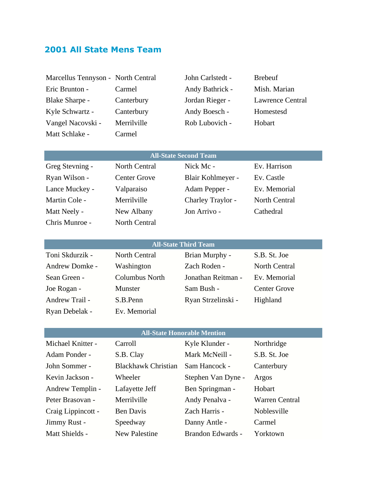# **2001 All State Mens Team**

| Marcellus Tennyson - North Central |             | John Carlstedt - | <b>Brebeuf</b>          |
|------------------------------------|-------------|------------------|-------------------------|
| Eric Brunton -                     | Carmel      | Andy Bathrick -  | Mish. Marian            |
| <b>Blake Sharpe -</b>              | Canterbury  | Jordan Rieger -  | <b>Lawrence Central</b> |
| Kyle Schwartz -                    | Canterbury  | Andy Boesch -    | Homestesd               |
| Vangel Nacovski -                  | Merrilville | Rob Lubovich -   | Hobart                  |
| Matt Schlake -                     | Carmel      |                  |                         |

| <b>All-State Second Team</b> |                     |                   |               |  |
|------------------------------|---------------------|-------------------|---------------|--|
| Greg Stevning -              | North Central       | Nick Mc -         | Ev. Harrison  |  |
| Ryan Wilson -                | <b>Center Grove</b> | Blair Kohlmeyer - | Ev. Castle    |  |
| Lance Muckey -               | Valparaiso          | Adam Pepper -     | Ev. Memorial  |  |
| Martin Cole -                | Merrilville         | Charley Traylor - | North Central |  |
| Matt Neely -                 | New Albany          | Jon Arrivo -      | Cathedral     |  |
| Chris Munroe -               | North Central       |                   |               |  |

# **All-State Third Team**

| Toni Skdurzik - | North Central  | Brian Murphy -     | S.B. St. Joe         |
|-----------------|----------------|--------------------|----------------------|
| Andrew Domke -  | Washington     | Zach Roden -       | <b>North Central</b> |
| Sean Green -    | Columbus North | Jonathan Reitman - | Ev. Memorial         |
| Joe Rogan -     | Munster        | Sam Bush -         | <b>Center Grove</b>  |
| Andrew Trail -  | S.B.Penn       | Ryan Strzelinski - | Highland             |
| Ryan Debelak -  | Ev. Memorial   |                    |                      |

### **All-State Honorable Mention**

| Michael Knitter -  | Carroll                    | Kyle Klunder -     | Northridge            |
|--------------------|----------------------------|--------------------|-----------------------|
| Adam Ponder -      | S.B. Clay                  | Mark McNeill -     | S.B. St. Joe          |
| John Sommer -      | <b>Blackhawk Christian</b> | Sam Hancock -      | Canterbury            |
| Kevin Jackson -    | Wheeler                    | Stephen Van Dyne - | Argos                 |
| Andrew Templin -   | Lafayette Jeff             | Ben Springman -    | Hobart                |
| Peter Brasovan -   | Merrilville                | Andy Penalva -     | <b>Warren Central</b> |
| Craig Lippincott - | <b>Ben Davis</b>           | Zach Harris -      | Noblesville           |
| Jimmy Rust -       | Speedway                   | Danny Antle -      | Carmel                |
| Matt Shields -     | <b>New Palestine</b>       | Brandon Edwards -  | Yorktown              |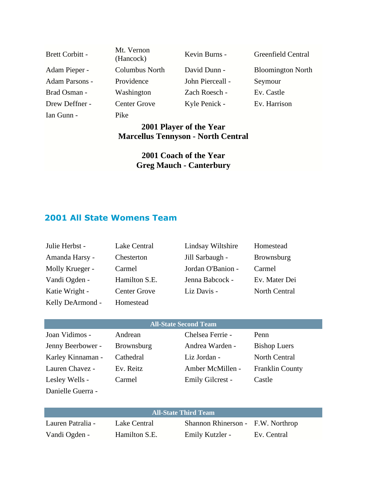| <b>Brett Corbitt -</b> | Mt. Vernon<br>(Hancock) | Kevin Burns -    | Greenfield Central       |
|------------------------|-------------------------|------------------|--------------------------|
| Adam Pieper -          | <b>Columbus North</b>   | David Dunn -     | <b>Bloomington North</b> |
| <b>Adam Parsons -</b>  | Providence              | John Pierceall - | Seymour                  |
| Brad Osman -           | Washington              | Zach Roesch -    | Ev. Castle               |
| Drew Deffner -         | <b>Center Grove</b>     | Kyle Penick -    | Ev. Harrison             |
| Ian Gunn -             | Pike                    |                  |                          |

## **2001 Player of the Year Marcellus Tennyson - North Central**

### **2001 Coach of the Year Greg Mauch - Canterbury**

# **2001 All State Womens Team**

| Julie Herbst -   | Lake Central        | Lindsay Wiltshire | Homestead            |
|------------------|---------------------|-------------------|----------------------|
| Amanda Harsy -   | Chesterton          | Jill Sarbaugh -   | <b>Brownsburg</b>    |
| Molly Krueger -  | Carmel              | Jordan O'Banion - | Carmel               |
| Vandi Ogden -    | Hamilton S.E.       | Jenna Babcock -   | Ev. Mater Dei        |
| Katie Wright -   | <b>Center Grove</b> | Liz Davis -       | <b>North Central</b> |
| Kelly DeArmond - | Homestead           |                   |                      |

| <b>All-State Second Team</b> |                   |                  |                        |  |
|------------------------------|-------------------|------------------|------------------------|--|
| Joan Vidimos -               | Andrean           | Chelsea Ferrie - | Penn                   |  |
| Jenny Beerbower -            | <b>Brownsburg</b> | Andrea Warden -  | <b>Bishop Luers</b>    |  |
| Karley Kinnaman -            | Cathedral         | Liz Jordan -     | <b>North Central</b>   |  |
| Lauren Chavez -              | Ev. Reitz         | Amber McMillen - | <b>Franklin County</b> |  |
| Lesley Wells -               | Carmel            | Emily Gilcrest - | Castle                 |  |
| Danielle Guerra -            |                   |                  |                        |  |

| <b>All-State Third Team</b> |               |                                   |             |
|-----------------------------|---------------|-----------------------------------|-------------|
| Lauren Patralia -           | Lake Central  | Shannon Rhinerson - F.W. Northrop |             |
| Vandi Ogden -               | Hamilton S.E. | Emily Kutzler -                   | Ev. Central |